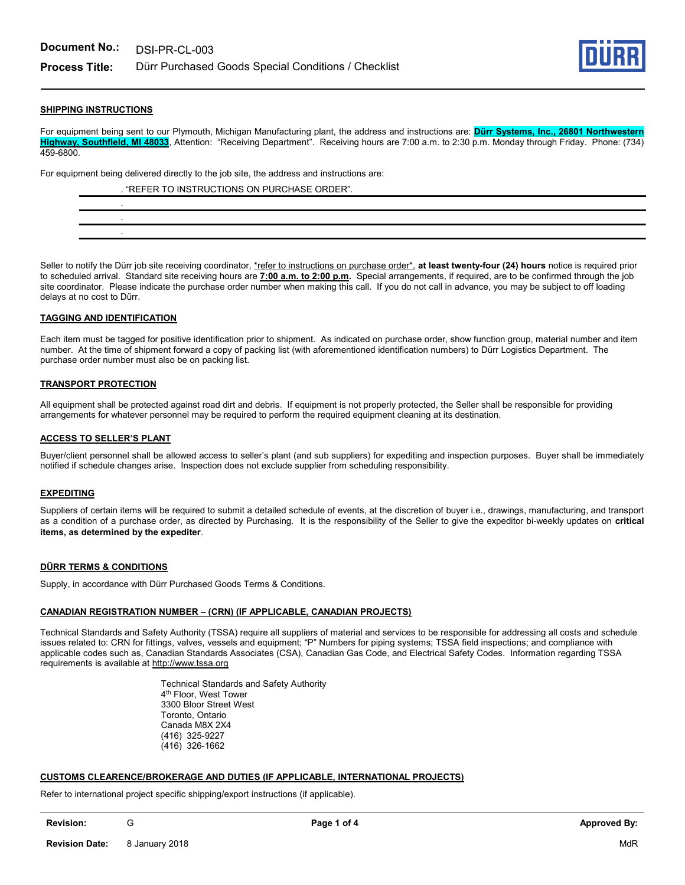

# SHIPPING INSTRUCTIONS

For equipment being sent to our Plymouth, Michigan Manufacturing plant, the address and instructions are: Dürr Systems, Inc., 26801 Northwestern Highway, Southfield, MI 48033, Attention: "Receiving Department". Receiving hours are 7:00 a.m. to 2:30 p.m. Monday through Friday. Phone: (734) 459-6800.

For equipment being delivered directly to the job site, the address and instructions are:

| . "REFER TO INSTRUCTIONS ON PURCHASE ORDER". |
|----------------------------------------------|
|                                              |
|                                              |
|                                              |

Seller to notify the Dürr job site receiving coordinator, \*refer to instructions on purchase order\*, at least twenty-four (24) hours notice is required prior to scheduled arrival. Standard site receiving hours are 7:00 a.m. to 2:00 p.m. Special arrangements, if required, are to be confirmed through the job site coordinator. Please indicate the purchase order number when making this call. If you do not call in advance, you may be subject to off loading delays at no cost to Dürr.

#### TAGGING AND IDENTIFICATION

Each item must be tagged for positive identification prior to shipment. As indicated on purchase order, show function group, material number and item number. At the time of shipment forward a copy of packing list (with aforementioned identification numbers) to Dürr Logistics Department. The purchase order number must also be on packing list.

#### TRANSPORT PROTECTION

All equipment shall be protected against road dirt and debris. If equipment is not properly protected, the Seller shall be responsible for providing arrangements for whatever personnel may be required to perform the required equipment cleaning at its destination.

#### ACCESS TO SELLER'S PLANT

Buyer/client personnel shall be allowed access to seller's plant (and sub suppliers) for expediting and inspection purposes. Buyer shall be immediately notified if schedule changes arise. Inspection does not exclude supplier from scheduling responsibility.

#### **EXPEDITING**

Suppliers of certain items will be required to submit a detailed schedule of events, at the discretion of buyer i.e., drawings, manufacturing, and transport as a condition of a purchase order, as directed by Purchasing. It is the responsibility of the Seller to give the expeditor bi-weekly updates on critical items, as determined by the expediter.

# DÜRR TERMS & CONDITIONS

Supply, in accordance with Dürr Purchased Goods Terms & Conditions.

#### CANADIAN REGISTRATION NUMBER – (CRN) (IF APPLICABLE, CANADIAN PROJECTS)

Technical Standards and Safety Authority (TSSA) require all suppliers of material and services to be responsible for addressing all costs and schedule issues related to: CRN for fittings, valves, vessels and equipment; "P" Numbers for piping systems; TSSA field inspections; and compliance with applicable codes such as, Canadian Standards Associates (CSA), Canadian Gas Code, and Electrical Safety Codes. Information regarding TSSA requirements is available at http://www.tssa.org

> Technical Standards and Safety Authority 4 th Floor, West Tower 3300 Bloor Street West Toronto, Ontario Canada M8X 2X4 (416) 325-9227 (416) 326-1662

#### CUSTOMS CLEARENCE/BROKERAGE AND DUTIES (IF APPLICABLE, INTERNATIONAL PROJECTS)

Refer to international project specific shipping/export instructions (if applicable).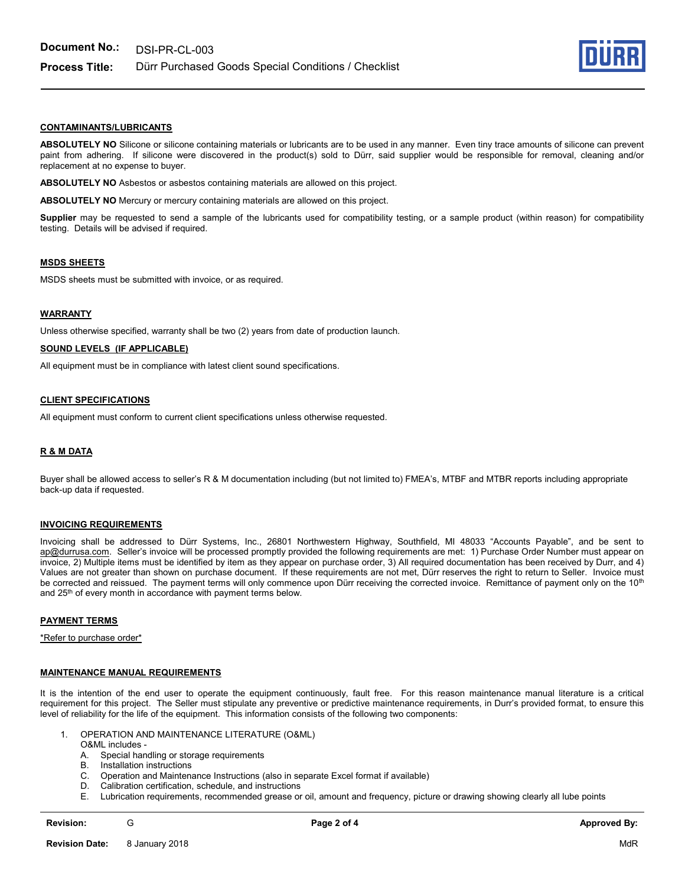

# CONTAMINANTS/LUBRICANTS

ABSOLUTELY NO Silicone or silicone containing materials or lubricants are to be used in any manner. Even tiny trace amounts of silicone can prevent paint from adhering. If silicone were discovered in the product(s) sold to Dürr, said supplier would be responsible for removal, cleaning and/or replacement at no expense to buyer.

ABSOLUTELY NO Asbestos or asbestos containing materials are allowed on this project.

ABSOLUTELY NO Mercury or mercury containing materials are allowed on this project.

Supplier may be requested to send a sample of the lubricants used for compatibility testing, or a sample product (within reason) for compatibility testing. Details will be advised if required.

#### MSDS SHEETS

MSDS sheets must be submitted with invoice, or as required.

#### **WARRANTY**

Unless otherwise specified, warranty shall be two (2) years from date of production launch.

# SOUND LEVELS (IF APPLICABLE)

All equipment must be in compliance with latest client sound specifications.

#### CLIENT SPECIFICATIONS

All equipment must conform to current client specifications unless otherwise requested.

#### R & M DATA

Buyer shall be allowed access to seller's R & M documentation including (but not limited to) FMEA's, MTBF and MTBR reports including appropriate back-up data if requested.

#### INVOICING REQUIREMENTS

Invoicing shall be addressed to Dürr Systems, Inc., 26801 Northwestern Highway, Southfield, MI 48033 "Accounts Payable", and be sent to ap@durrusa.com. Seller's invoice will be processed promptly provided the following requirements are met: 1) Purchase Order Number must appear on invoice, 2) Multiple items must be identified by item as they appear on purchase order, 3) All required documentation has been received by Durr, and 4) Values are not greater than shown on purchase document. If these requirements are not met, Dürr reserves the right to return to Seller. Invoice must be corrected and reissued. The payment terms will only commence upon Dürr receiving the corrected invoice. Remittance of payment only on the 10<sup>th</sup> and 25<sup>th</sup> of every month in accordance with payment terms below.

#### PAYMENT TERMS

\*Refer to purchase order\*

#### MAINTENANCE MANUAL REQUIREMENTS

It is the intention of the end user to operate the equipment continuously, fault free. For this reason maintenance manual literature is a critical requirement for this project. The Seller must stipulate any preventive or predictive maintenance requirements, in Durr's provided format, to ensure this level of reliability for the life of the equipment. This information consists of the following two components:

- 1. OPERATION AND MAINTENANCE LITERATURE (O&ML)
	- O&ML includes -
	- A. Special handling or storage requirements
	- B. Installation instructions
	- C. Operation and Maintenance Instructions (also in separate Excel format if available)
	- D. Calibration certification, schedule, and instructions
	- E. Lubrication requirements, recommended grease or oil, amount and frequency, picture or drawing showing clearly all lube points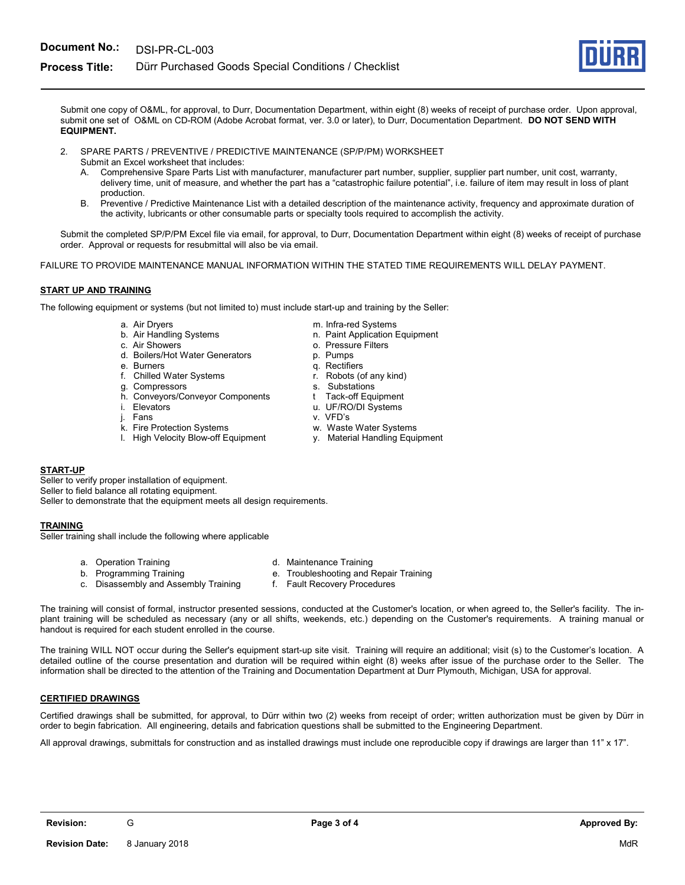# **Process Title:** Dürr Purchased Goods Special Conditions / Checklist

Submit one copy of O&ML, for approval, to Durr, Documentation Department, within eight (8) weeks of receipt of purchase order. Upon approval, submit one set of O&ML on CD-ROM (Adobe Acrobat format, ver. 3.0 or later), to Durr, Documentation Department. DO NOT SEND WITH EQUIPMENT.

- 2. SPARE PARTS / PREVENTIVE / PREDICTIVE MAINTENANCE (SP/P/PM) WORKSHEET Submit an Excel worksheet that includes:
	- A. Comprehensive Spare Parts List with manufacturer, manufacturer part number, supplier, supplier part number, unit cost, warranty, delivery time, unit of measure, and whether the part has a "catastrophic failure potential", i.e. failure of item may result in loss of plant production.
	- B. Preventive / Predictive Maintenance List with a detailed description of the maintenance activity, frequency and approximate duration of the activity, lubricants or other consumable parts or specialty tools required to accomplish the activity.

Submit the completed SP/P/PM Excel file via email, for approval, to Durr, Documentation Department within eight (8) weeks of receipt of purchase order. Approval or requests for resubmittal will also be via email.

FAILURE TO PROVIDE MAINTENANCE MANUAL INFORMATION WITHIN THE STATED TIME REQUIREMENTS WILL DELAY PAYMENT.

# START UP AND TRAINING

The following equipment or systems (but not limited to) must include start-up and training by the Seller:

- 
- 
- 
- c. Air Showers o. Air Showers o. Pressure Filters<br>
d. Boilers/Hot Water Generators o. Pumps d. Boilers/Hot Water Generators
- 
- f. Chilled Water Systems
- g. Compressors s. Substations
- h. Conveyors/Conveyor Components the Tack-off Equipment i. Elevators<br>i. Elevators u. UF/RO/DI Systems
- 
- 
- 
- k. Fire Protection Systems<br>
I. High Velocity Blow-off Equipment v. Material Handling Equipment l. High Velocity Blow-off Equipment
- a. Air Dryers metal was a metal metal metal of the metal of the metal of the metal of the metal of the metal o
- b. Air Handling Systems n. Paint Application Equipment
	-
	-
	-
- e. Burners<br>f. Chilled Water Systems f. Robots (of any kind)
	-
	-
- i. Elevators u. UF/RO/DI Systems
	- v. VFD's
	-
	-

# START-UP

Seller to verify proper installation of equipment. Seller to field balance all rotating equipment. Seller to demonstrate that the equipment meets all design requirements.

# TRAINING

Seller training shall include the following where applicable

- 
- a. Operation Training and Training in the Maintenance Training
- b. Programming Training e. Troubleshooting and Repair Training
- c. Disassembly and Assembly Training f. Fault Recovery Procedures
- -
- The training will consist of formal, instructor presented sessions, conducted at the Customer's location, or when agreed to, the Seller's facility. The inplant training will be scheduled as necessary (any or all shifts, weekends, etc.) depending on the Customer's requirements. A training manual or handout is required for each student enrolled in the course.

The training WILL NOT occur during the Seller's equipment start-up site visit. Training will require an additional; visit (s) to the Customer's location. A detailed outline of the course presentation and duration will be required within eight (8) weeks after issue of the purchase order to the Seller. The information shall be directed to the attention of the Training and Documentation Department at Durr Plymouth, Michigan, USA for approval.

# CERTIFIED DRAWINGS

Certified drawings shall be submitted, for approval, to Dürr within two (2) weeks from receipt of order; written authorization must be given by Dürr in order to begin fabrication. All engineering, details and fabrication questions shall be submitted to the Engineering Department.

All approval drawings, submittals for construction and as installed drawings must include one reproducible copy if drawings are larger than 11" x 17".